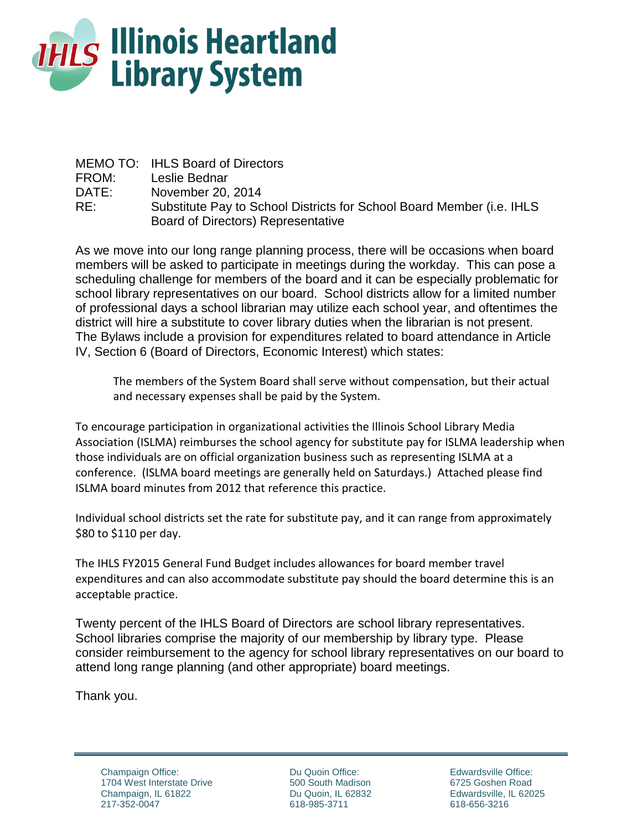

|       | MEMO TO: IHLS Board of Directors                                      |
|-------|-----------------------------------------------------------------------|
| FROM: | Leslie Bednar                                                         |
| DATE: | November 20, 2014                                                     |
| RE:   | Substitute Pay to School Districts for School Board Member (i.e. IHLS |
|       | Board of Directors) Representative                                    |

As we move into our long range planning process, there will be occasions when board members will be asked to participate in meetings during the workday. This can pose a scheduling challenge for members of the board and it can be especially problematic for school library representatives on our board. School districts allow for a limited number of professional days a school librarian may utilize each school year, and oftentimes the district will hire a substitute to cover library duties when the librarian is not present. The Bylaws include a provision for expenditures related to board attendance in Article IV, Section 6 (Board of Directors, Economic Interest) which states:

The members of the System Board shall serve without compensation, but their actual and necessary expenses shall be paid by the System.

To encourage participation in organizational activities the Illinois School Library Media Association (ISLMA) reimburses the school agency for substitute pay for ISLMA leadership when those individuals are on official organization business such as representing ISLMA at a conference. (ISLMA board meetings are generally held on Saturdays.) Attached please find ISLMA board minutes from 2012 that reference this practice.

Individual school districts set the rate for substitute pay, and it can range from approximately \$80 to \$110 per day.

The IHLS FY2015 General Fund Budget includes allowances for board member travel expenditures and can also accommodate substitute pay should the board determine this is an acceptable practice.

Twenty percent of the IHLS Board of Directors are school library representatives. School libraries comprise the majority of our membership by library type. Please consider reimbursement to the agency for school library representatives on our board to attend long range planning (and other appropriate) board meetings.

Thank you.

Champaign Office: 1704 West Interstate Drive Champaign, IL 61822 217-352-0047

Du Quoin Office: 500 South Madison Du Quoin, IL 62832 618-985-3711

Edwardsville Office: 6725 Goshen Road Edwardsville, IL 62025 618-656-3216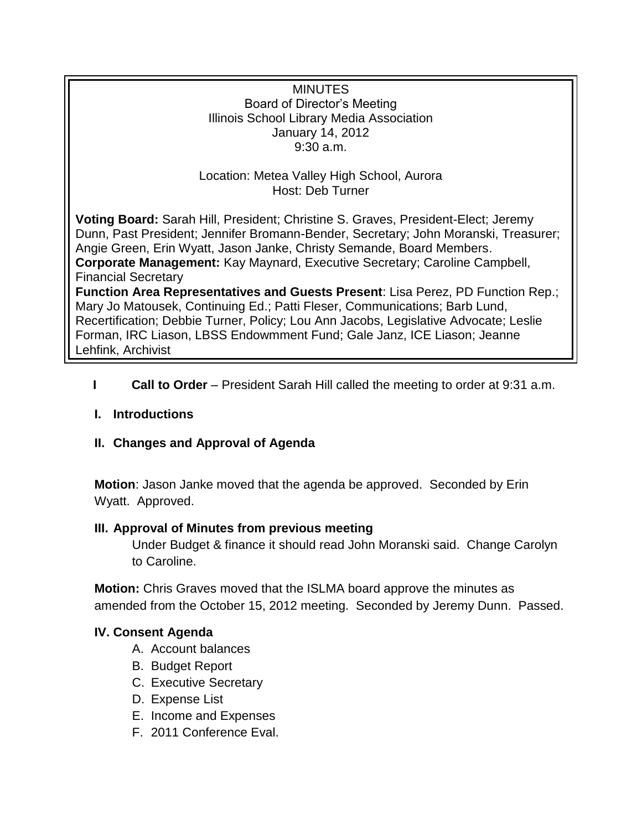### **MINUTES** Board of Director's Meeting Illinois School Library Media Association January 14, 2012 9:30 a.m.

## Location: Metea Valley High School, Aurora Host: Deb Turner

**Voting Board:** Sarah Hill, President; Christine S. Graves, President-Elect; Jeremy Dunn, Past President; Jennifer Bromann-Bender, Secretary; John Moranski, Treasurer; Angie Green, Erin Wyatt, Jason Janke, Christy Semande, Board Members. **Corporate Management:** Kay Maynard, Executive Secretary; Caroline Campbell, Financial Secretary

**Function Area Representatives and Guests Present**: Lisa Perez, PD Function Rep.; Mary Jo Matousek, Continuing Ed.; Patti Fleser, Communications; Barb Lund, Recertification; Debbie Turner, Policy; Lou Ann Jacobs, Legislative Advocate; Leslie Forman, IRC Liason, LBSS Endowmment Fund; Gale Janz, ICE Liason; Jeanne Lehfink, Archivist

**I Call to Order** – President Sarah Hill called the meeting to order at 9:31 a.m.

# **I. Introductions**

# **II. Changes and Approval of Agenda**

**Motion**: Jason Janke moved that the agenda be approved. Seconded by Erin Wyatt. Approved.

### **III. Approval of Minutes from previous meeting**

Under Budget & finance it should read John Moranski said. Change Carolyn to Caroline.

**Motion:** Chris Graves moved that the ISLMA board approve the minutes as amended from the October 15, 2012 meeting. Seconded by Jeremy Dunn. Passed.

# **IV. Consent Agenda**

- A. Account balances
- B. Budget Report
- C. Executive Secretary
- D. Expense List
- E. Income and Expenses
- F. 2011 Conference Eval.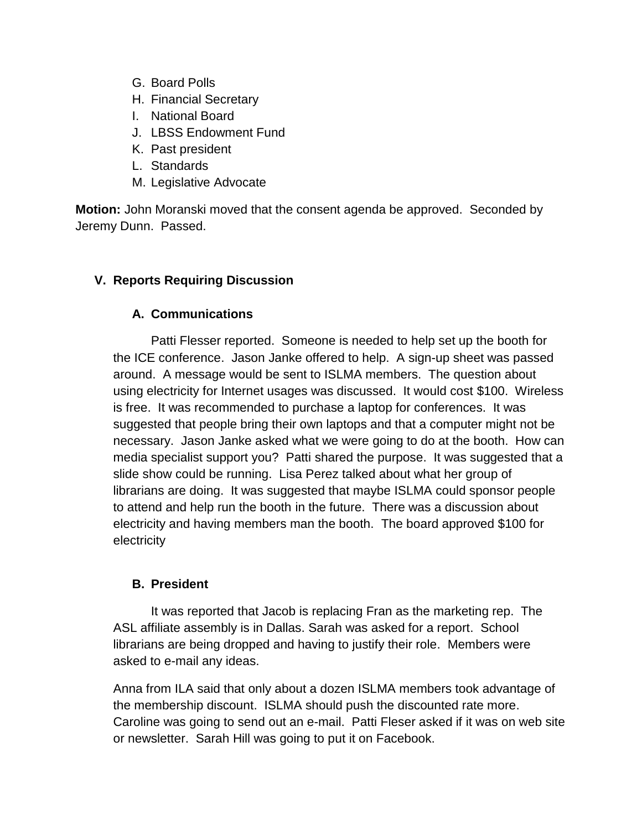- G. Board Polls
- H. Financial Secretary
- I. National Board
- J. LBSS Endowment Fund
- K. Past president
- L. Standards
- M. Legislative Advocate

**Motion:** John Moranski moved that the consent agenda be approved. Seconded by Jeremy Dunn. Passed.

# **V. Reports Requiring Discussion**

# **A. Communications**

Patti Flesser reported. Someone is needed to help set up the booth for the ICE conference. Jason Janke offered to help. A sign-up sheet was passed around. A message would be sent to ISLMA members. The question about using electricity for Internet usages was discussed. It would cost \$100. Wireless is free. It was recommended to purchase a laptop for conferences. It was suggested that people bring their own laptops and that a computer might not be necessary. Jason Janke asked what we were going to do at the booth. How can media specialist support you? Patti shared the purpose. It was suggested that a slide show could be running. Lisa Perez talked about what her group of librarians are doing. It was suggested that maybe ISLMA could sponsor people to attend and help run the booth in the future. There was a discussion about electricity and having members man the booth. The board approved \$100 for electricity

# **B. President**

It was reported that Jacob is replacing Fran as the marketing rep. The ASL affiliate assembly is in Dallas. Sarah was asked for a report. School librarians are being dropped and having to justify their role. Members were asked to e-mail any ideas.

Anna from ILA said that only about a dozen ISLMA members took advantage of the membership discount. ISLMA should push the discounted rate more. Caroline was going to send out an e-mail. Patti Fleser asked if it was on web site or newsletter. Sarah Hill was going to put it on Facebook.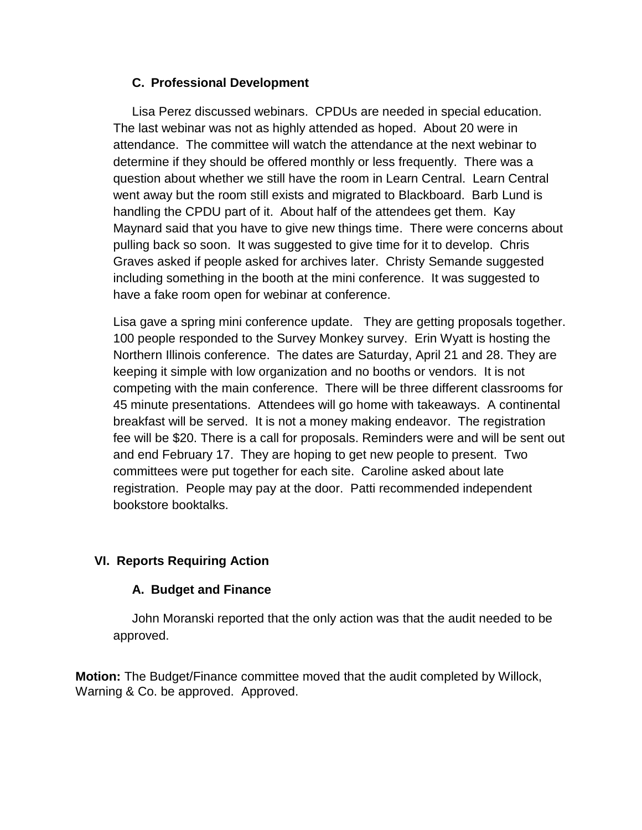## **C. Professional Development**

Lisa Perez discussed webinars. CPDUs are needed in special education. The last webinar was not as highly attended as hoped. About 20 were in attendance. The committee will watch the attendance at the next webinar to determine if they should be offered monthly or less frequently. There was a question about whether we still have the room in Learn Central. Learn Central went away but the room still exists and migrated to Blackboard. Barb Lund is handling the CPDU part of it. About half of the attendees get them. Kay Maynard said that you have to give new things time. There were concerns about pulling back so soon. It was suggested to give time for it to develop. Chris Graves asked if people asked for archives later. Christy Semande suggested including something in the booth at the mini conference. It was suggested to have a fake room open for webinar at conference.

Lisa gave a spring mini conference update. They are getting proposals together. 100 people responded to the Survey Monkey survey. Erin Wyatt is hosting the Northern Illinois conference. The dates are Saturday, April 21 and 28. They are keeping it simple with low organization and no booths or vendors. It is not competing with the main conference. There will be three different classrooms for 45 minute presentations. Attendees will go home with takeaways. A continental breakfast will be served. It is not a money making endeavor. The registration fee will be \$20. There is a call for proposals. Reminders were and will be sent out and end February 17. They are hoping to get new people to present. Two committees were put together for each site. Caroline asked about late registration. People may pay at the door. Patti recommended independent bookstore booktalks.

# **VI. Reports Requiring Action**

# **A. Budget and Finance**

John Moranski reported that the only action was that the audit needed to be approved.

**Motion:** The Budget/Finance committee moved that the audit completed by Willock, Warning & Co. be approved. Approved.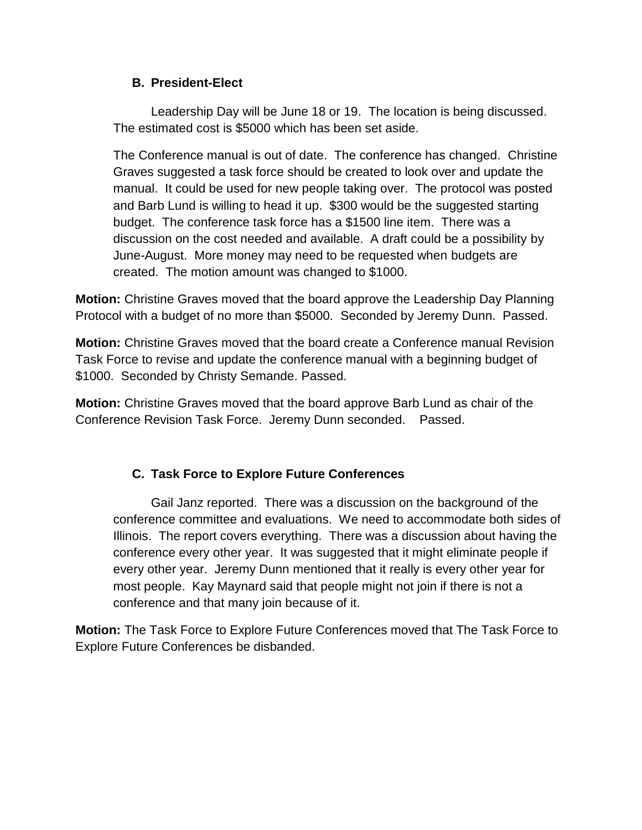### **B. President-Elect**

Leadership Day will be June 18 or 19. The location is being discussed. The estimated cost is \$5000 which has been set aside.

The Conference manual is out of date. The conference has changed. Christine Graves suggested a task force should be created to look over and update the manual. It could be used for new people taking over. The protocol was posted and Barb Lund is willing to head it up. \$300 would be the suggested starting budget. The conference task force has a \$1500 line item. There was a discussion on the cost needed and available. A draft could be a possibility by June-August. More money may need to be requested when budgets are created. The motion amount was changed to \$1000.

**Motion:** Christine Graves moved that the board approve the Leadership Day Planning Protocol with a budget of no more than \$5000. Seconded by Jeremy Dunn. Passed.

**Motion:** Christine Graves moved that the board create a Conference manual Revision Task Force to revise and update the conference manual with a beginning budget of \$1000. Seconded by Christy Semande. Passed.

**Motion:** Christine Graves moved that the board approve Barb Lund as chair of the Conference Revision Task Force. Jeremy Dunn seconded. Passed.

# **C. Task Force to Explore Future Conferences**

Gail Janz reported. There was a discussion on the background of the conference committee and evaluations. We need to accommodate both sides of Illinois. The report covers everything. There was a discussion about having the conference every other year. It was suggested that it might eliminate people if every other year. Jeremy Dunn mentioned that it really is every other year for most people. Kay Maynard said that people might not join if there is not a conference and that many join because of it.

**Motion:** The Task Force to Explore Future Conferences moved that The Task Force to Explore Future Conferences be disbanded.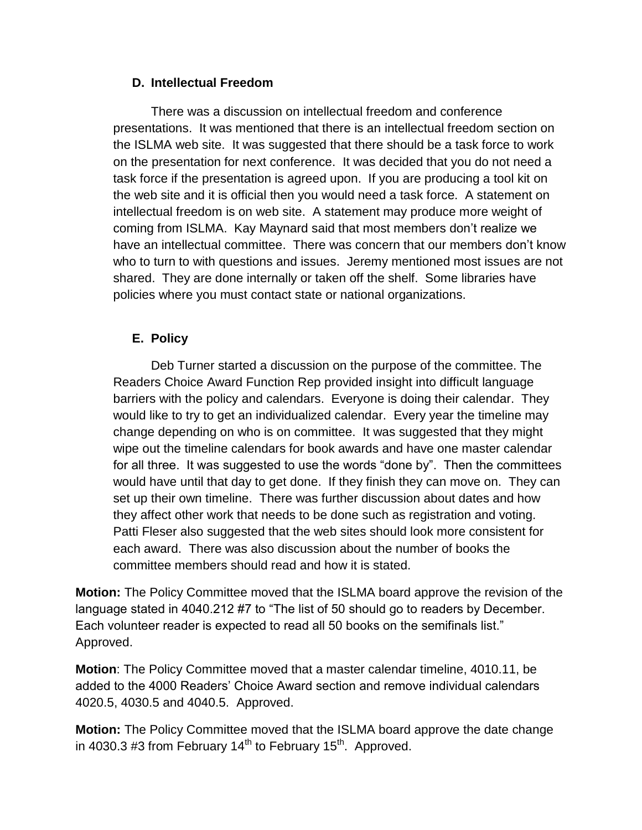#### **D. Intellectual Freedom**

There was a discussion on intellectual freedom and conference presentations. It was mentioned that there is an intellectual freedom section on the ISLMA web site. It was suggested that there should be a task force to work on the presentation for next conference. It was decided that you do not need a task force if the presentation is agreed upon. If you are producing a tool kit on the web site and it is official then you would need a task force. A statement on intellectual freedom is on web site. A statement may produce more weight of coming from ISLMA. Kay Maynard said that most members don't realize we have an intellectual committee. There was concern that our members don't know who to turn to with questions and issues. Jeremy mentioned most issues are not shared. They are done internally or taken off the shelf. Some libraries have policies where you must contact state or national organizations.

### **E. Policy**

Deb Turner started a discussion on the purpose of the committee. The Readers Choice Award Function Rep provided insight into difficult language barriers with the policy and calendars. Everyone is doing their calendar. They would like to try to get an individualized calendar. Every year the timeline may change depending on who is on committee. It was suggested that they might wipe out the timeline calendars for book awards and have one master calendar for all three. It was suggested to use the words "done by". Then the committees would have until that day to get done. If they finish they can move on. They can set up their own timeline. There was further discussion about dates and how they affect other work that needs to be done such as registration and voting. Patti Fleser also suggested that the web sites should look more consistent for each award. There was also discussion about the number of books the committee members should read and how it is stated.

**Motion:** The Policy Committee moved that the ISLMA board approve the revision of the language stated in 4040.212 #7 to "The list of 50 should go to readers by December. Each volunteer reader is expected to read all 50 books on the semifinals list." Approved.

**Motion**: The Policy Committee moved that a master calendar timeline, 4010.11, be added to the 4000 Readers' Choice Award section and remove individual calendars 4020.5, 4030.5 and 4040.5. Approved.

**Motion:** The Policy Committee moved that the ISLMA board approve the date change in 4030.3 #3 from February 14<sup>th</sup> to February 15<sup>th</sup>. Approved.